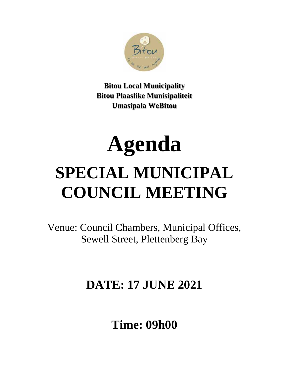

**Bitou Local Municipality Bitou Plaaslike Munisipaliteit Umasipala WeBitou**

# **Agenda SPECIAL MUNICIPAL COUNCIL MEETING**

Venue: Council Chambers, Municipal Offices, Sewell Street, Plettenberg Bay

# **DATE: 17 JUNE 2021**

**Time: 09h00**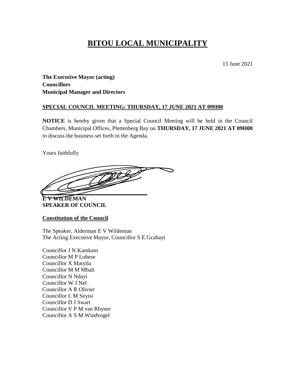# **BITOU LOCAL MUNICIPALITY**

15 June 2021

**The Executive Mayor (acting) Councillors Municipal Manager and Directors**

#### **SPECIAL COUNCIL MEETING: THURSDAY, 17 JUNE 2021 AT 09H00**

**NOTICE** is hereby given that a Special Council Meeting will be held in the Council Chambers, Municipal Offices, Plettenberg Bay on **THURSDAY, 17 JUNE 2021 AT 09H00** to discuss the business set forth in the Agenda.

Yours faithfully

**\_\_\_\_\_\_\_\_\_\_\_\_\_\_\_\_\_\_\_\_\_\_\_\_\_\_\_\_\_\_\_\_\_\_\_\_\_**

**E V WILDEMAN SPEAKER OF COUNCIL**

**Constitution of the Council**

The Speaker, Alderman E V Wildeman The Acting Executive Mayor, Councillor S E Gcabayi

Councillor J N Kamkam Councillor M P Lobese Councillor X Matyila Councillor M M Mbali Councillor N Ndayi Councillor W J Nel Councillor A R Olivier Councillor L M Seyisi Councillor D J Swart Councillor V P M van Rhyner Councillor A S M Windvogel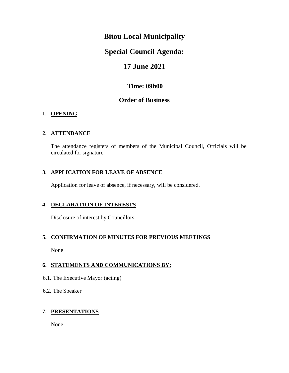### **Bitou Local Municipality**

### **Special Council Agenda:**

### **17 June 2021**

### **Time: 09h00**

#### **Order of Business**

#### **1. OPENING**

#### **2. ATTENDANCE**

The attendance registers of members of the Municipal Council, Officials will be circulated for signature.

#### **3. APPLICATION FOR LEAVE OF ABSENCE**

Application for leave of absence, if necessary, will be considered.

#### **4. DECLARATION OF INTERESTS**

Disclosure of interest by Councillors

#### **5. CONFIRMATION OF MINUTES FOR PREVIOUS MEETINGS**

None

#### **6. STATEMENTS AND COMMUNICATIONS BY:**

- 6.1. The Executive Mayor (acting)
- 6.2. The Speaker

#### **7. PRESENTATIONS**

None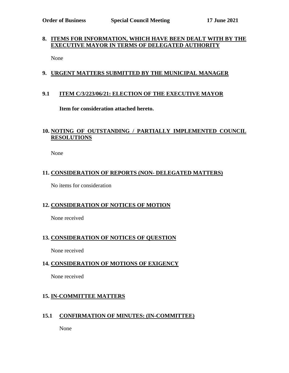#### **8. ITEMS FOR INFORMATION, WHICH HAVE BEEN DEALT WITH BY THE EXECUTIVE MAYOR IN TERMS OF DELEGATED AUTHORITY**

None

#### **9. URGENT MATTERS SUBMITTED BY THE MUNICIPAL MANAGER**

#### **9.1 ITEM C/3/223/06/21: ELECTION OF THE EXECUTIVE MAYOR**

**Item for consideration attached hereto.**

#### **10. NOTING OF OUTSTANDING / PARTIALLY IMPLEMENTED COUNCIL RESOLUTIONS**

None

#### **11. CONSIDERATION OF REPORTS (NON- DELEGATED MATTERS)**

No items for consideration

#### **12. CONSIDERATION OF NOTICES OF MOTION**

None received

#### **13. CONSIDERATION OF NOTICES OF QUESTION**

None received

#### **14. CONSIDERATION OF MOTIONS OF EXIGENCY**

None received

#### **15. IN-COMMITTEE MATTERS**

#### **15.1 CONFIRMATION OF MINUTES: (IN-COMMITTEE)**

None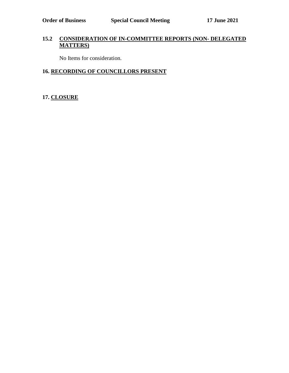#### **15.2 CONSIDERATION OF IN-COMMITTEE REPORTS (NON- DELEGATED MATTERS)**

No Items for consideration.

#### **16. RECORDING OF COUNCILLORS PRESENT**

#### **17. CLOSURE**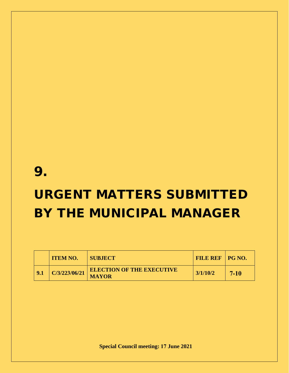# 9.

# URGENT MATTERS SUBMITTED BY THE MUNICIPAL MANAGER

| <b>ITEM NO.</b> | <b>SUBJECT\</b>                                  | <b>FILE REF   PG NO.</b> |        |
|-----------------|--------------------------------------------------|--------------------------|--------|
| C/3/223/06/21   | <b>ELECTION OF THE EXECUTIVE</b><br><b>MAYOR</b> | 3/1/10/2                 | $7-10$ |

**Special Council meeting: 17 June 2021**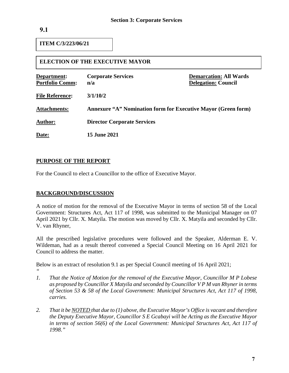**ITEM C/3/223/06/21**

#### **ELECTION OF THE EXECUTIVE MAYOR**

| Department:<br><b>Portfolio Comm:</b> | <b>Corporate Services</b><br>n/a                                     | <b>Demarcation: All Wards</b><br><b>Delegation: Council</b> |  |
|---------------------------------------|----------------------------------------------------------------------|-------------------------------------------------------------|--|
| <b>File Reference:</b>                | 3/1/10/2                                                             |                                                             |  |
| <b>Attachments:</b>                   | <b>Annexure "A" Nomination form for Executive Mayor (Green form)</b> |                                                             |  |
| <b>Author:</b>                        | <b>Director Corporate Services</b>                                   |                                                             |  |
| Date:                                 | <b>15 June 2021</b>                                                  |                                                             |  |

#### **PURPOSE OF THE REPORT**

For the Council to elect a Councillor to the office of Executive Mayor.

#### **BACKGROUND/DISCUSSION**

A notice of motion for the removal of the Executive Mayor in terms of section 58 of the Local Government: Structures Act, Act 117 of 1998, was submitted to the Municipal Manager on 07 April 2021 by Cllr. X. Matyila. The motion was moved by Cllr. X. Matyila and seconded by Cllr. V. van Rhyner,

All the prescribed legislative procedures were followed and the Speaker, Alderman E. V. Wildeman, had as a result thereof convened a Special Council Meeting on 16 April 2021 for Council to address the matter.

Below is an extract of resolution 9.1 as per Special Council meeting of 16 April 2021;

- *" 1. That the Notice of Motion for the removal of the Executive Mayor, Councillor M P Lobese as proposed by Councillor X Matyila and seconded by Councillor V P M van Rhyner in terms of Section 53 & 58 of the Local Government: Municipal Structures Act, Act 117 of 1998, carries.*
- *2. That it be NOTED that due to (1) above, the Executive Mayor's Office is vacant and therefore the Deputy Executive Mayor, Councillor S E Gcabayi will be Acting as the Executive Mayor in terms of section 56(6) of the Local Government: Municipal Structures Act, Act 117 of 1998."*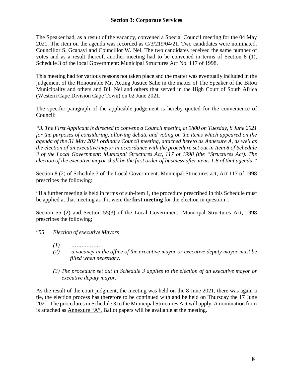The Speaker had, as a result of the vacancy, convened a Special Council meeting for the 04 May 2021. The item on the agenda was recorded as C/3/219/04/21. Two candidates were nominated, Councillor S. Gcabayi and Councillor W. Nel. The two candidates received the same number of votes and as a result thereof, another meeting had to be convened in terms of Section 8 (1), Schedule 3 of the local Government: Municipal Structures Act No. 117 of 1998.

This meeting had for various reasons not taken place and the matter was eventually included in the judgement of the Honourable Mr. Acting Justice Salie in the matter of The Speaker of the Bitou Municipality and others and Bill Nel and others that served in the High Court of South Africa (Western Cape Division Cape Town) on 02 June 2021.

The specific paragraph of the applicable judgement is hereby quoted for the convenience of Council:

*"3. The First Applicant is directed to convene a Council meeting at 9h00 on Tuesday, 8 June 2021 for the purposes of considering, allowing debate and voting on the items which appeared on the agenda of the 31 May 2021 ordinary Council meeting, attached hereto as Annexure A, as well as the election of an executive mayor in accordance with the procedure set out in Item 8 of Schedule 3 of the Local Government: Municipal Structures Act, 117 of 1998 (the "Structures Act). The election of the executive mayor shall be the first order of business after items 1-8 of that agenda."* 

Section 8 (2) of Schedule 3 of the Local Government: Municipal Structures act, Act 117 of 1998 prescribes the following:

"If a further meeting is held in terms of sub-item 1, the procedure prescribed in this Schedule must be applied at that meeting as if it were the **first meeting** for the election in question".

Section 55 (2) and Section 55(3) of the Local Government: Municipal Structures Act, 1998 prescribes the following;

"*55 Election of executive Mayors*

- *(1) ………………*
- *(2) a vacancy in the office of the executive mayor or executive deputy mayor must be filled when necessary.*
- *(3) The procedure set out in Schedule 3 applies to the election of an executive mayor or executive deputy mayor."*

As the result of the court judgment, the meeting was held on the 8 June 2021, there was again a tie, the election process has therefore to be continued with and be held on Thursday the 17 June 2021. The procedures in Schedule 3 to the Municipal Structures Act will apply. A nomination form is attached as Annexure "A". Ballot papers will be available at the meeting.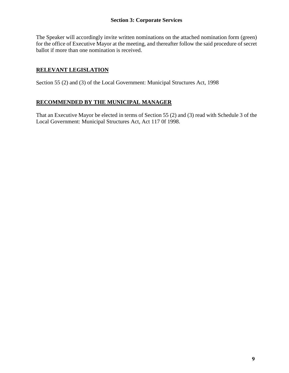The Speaker will accordingly invite written nominations on the attached nomination form (green) for the office of Executive Mayor at the meeting, and thereafter follow the said procedure of secret ballot if more than one nomination is received.

#### **RELEVANT LEGISLATION**

Section 55 (2) and (3) of the Local Government: Municipal Structures Act, 1998

#### **RECOMMENDED BY THE MUNICIPAL MANAGER**

That an Executive Mayor be elected in terms of Section 55 (2) and (3) read with Schedule 3 of the Local Government: Municipal Structures Act, Act 117 0f 1998.